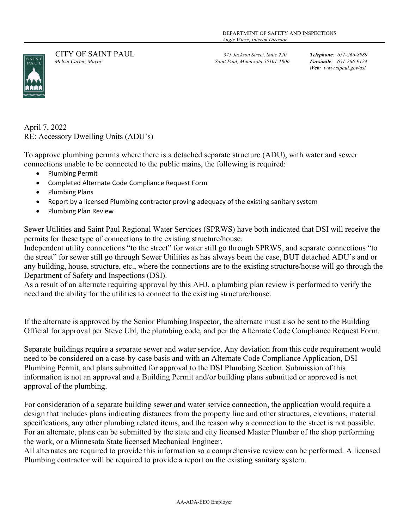

 CITY OF SAINT PAUL 375 Jackson Street, Suite 220 Telephone: 651-266-8989 Melvin Carter, Mayor Saint Paul, Minnesota 55101-1806 Facsimile: 651-266-9124

Web: www.stpaul.gov/dsi

April 7, 2022 RE: Accessory Dwelling Units (ADU's)

To approve plumbing permits where there is a detached separate structure (ADU), with water and sewer connections unable to be connected to the public mains, the following is required:

- Plumbing Permit
- Completed Alternate Code Compliance Request Form
- Plumbing Plans
- Report by a licensed Plumbing contractor proving adequacy of the existing sanitary system
- Plumbing Plan Review

Sewer Utilities and Saint Paul Regional Water Services (SPRWS) have both indicated that DSI will receive the permits for these type of connections to the existing structure/house.

Independent utility connections "to the street" for water still go through SPRWS, and separate connections "to the street" for sewer still go through Sewer Utilities as has always been the case, BUT detached ADU's and or any building, house, structure, etc., where the connections are to the existing structure/house will go through the Department of Safety and Inspections (DSI).

As a result of an alternate requiring approval by this AHJ, a plumbing plan review is performed to verify the need and the ability for the utilities to connect to the existing structure/house.

If the alternate is approved by the Senior Plumbing Inspector, the alternate must also be sent to the Building Official for approval per Steve Ubl, the plumbing code, and per the Alternate Code Compliance Request Form.

Separate buildings require a separate sewer and water service. Any deviation from this code requirement would need to be considered on a case-by-case basis and with an Alternate Code Compliance Application, DSI Plumbing Permit, and plans submitted for approval to the DSI Plumbing Section. Submission of this information is not an approval and a Building Permit and/or building plans submitted or approved is not approval of the plumbing.

For consideration of a separate building sewer and water service connection, the application would require a design that includes plans indicating distances from the property line and other structures, elevations, material specifications, any other plumbing related items, and the reason why a connection to the street is not possible. For an alternate, plans can be submitted by the state and city licensed Master Plumber of the shop performing the work, or a Minnesota State licensed Mechanical Engineer.

All alternates are required to provide this information so a comprehensive review can be performed. A licensed Plumbing contractor will be required to provide a report on the existing sanitary system.